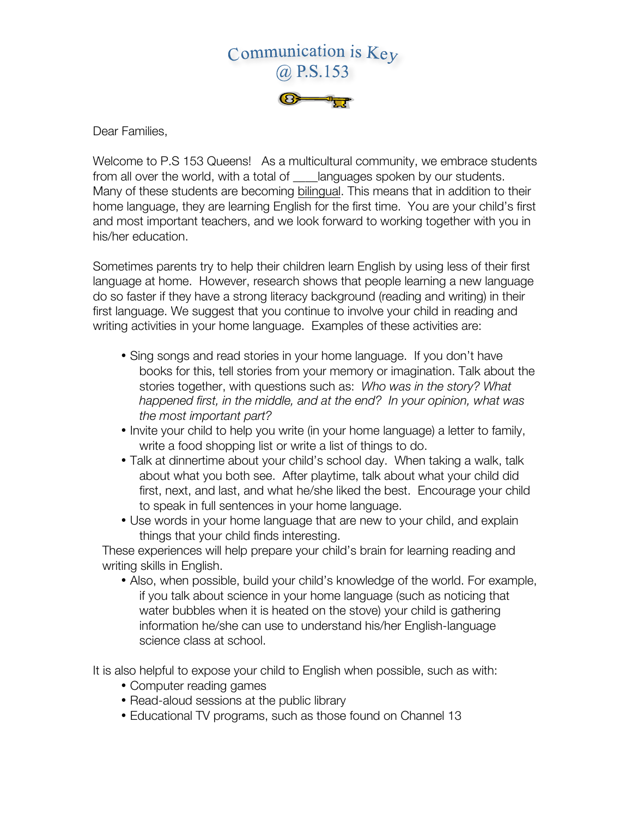

Dear Families,

Welcome to P.S 153 Queens! As a multicultural community, we embrace students from all over the world, with a total of languages spoken by our students. Many of these students are becoming bilingual. This means that in addition to their home language, they are learning English for the first time. You are your child's first and most important teachers, and we look forward to working together with you in his/her education.

Sometimes parents try to help their children learn English by using less of their first language at home. However, research shows that people learning a new language do so faster if they have a strong literacy background (reading and writing) in their first language. We suggest that you continue to involve your child in reading and writing activities in your home language. Examples of these activities are:

- Sing songs and read stories in your home language. If you don't have books for this, tell stories from your memory or imagination. Talk about the stories together, with questions such as: *Who was in the story? What happened first, in the middle, and at the end? In your opinion, what was the most important part?*
- Invite your child to help you write (in your home language) a letter to family, write a food shopping list or write a list of things to do.
- Talk at dinnertime about your child's school day. When taking a walk, talk about what you both see. After playtime, talk about what your child did first, next, and last, and what he/she liked the best. Encourage your child to speak in full sentences in your home language.
- Use words in your home language that are new to your child, and explain things that your child finds interesting.

These experiences will help prepare your child's brain for learning reading and writing skills in English.

• Also, when possible, build your child's knowledge of the world. For example, if you talk about science in your home language (such as noticing that water bubbles when it is heated on the stove) your child is gathering information he/she can use to understand his/her English-language science class at school.

It is also helpful to expose your child to English when possible, such as with:

- Computer reading games
- Read-aloud sessions at the public library
- Educational TV programs, such as those found on Channel 13